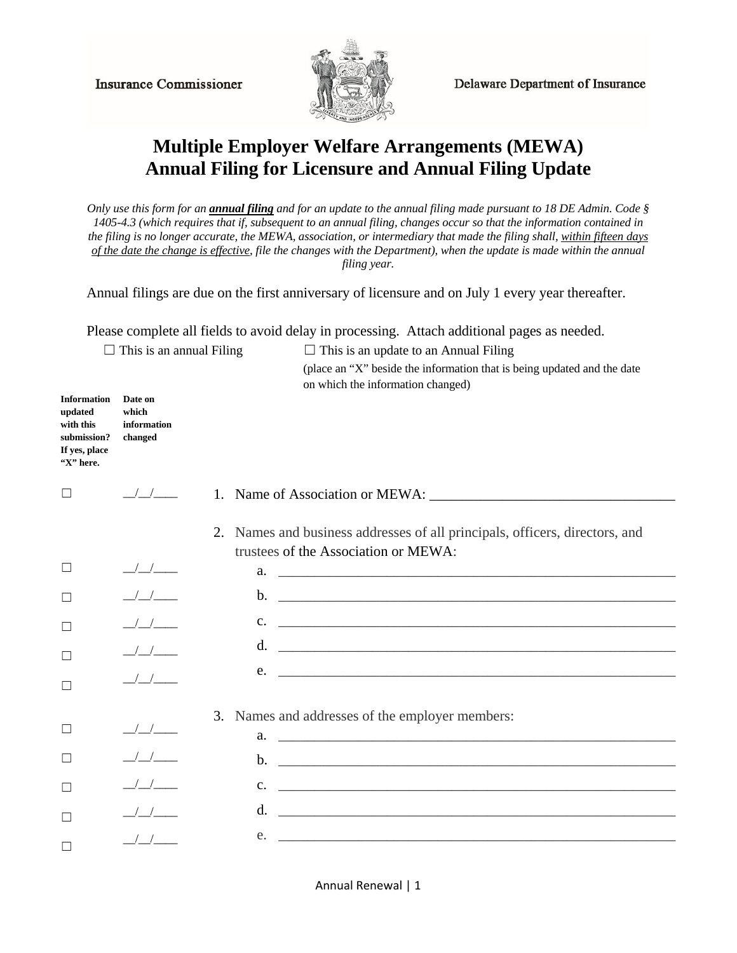**Insurance Commissioner** 



**Delaware Department of Insurance** 

## **Multiple Employer Welfare Arrangements (MEWA) Annual Filing for Licensure and Annual Filing Update**

*Only use this form for an annual filing and for an update to the annual filing made pursuant to 18 DE Admin. Code § 1405-4.3 (which requires that if, subsequent to an annual filing, changes occur so that the information contained in the filing is no longer accurate, the MEWA, association, or intermediary that made the filing shall, within fifteen days of the date the change is effective, file the changes with the Department), when the update is made within the annual filing year.* 

Annual filings are due on the first anniversary of licensure and on July 1 every year thereafter.

Please complete all fields to avoid delay in processing. Attach additional pages as needed.

 $\Box$  This is an annual Filing  $\Box$  This is an update to an Annual Filing

(place an "X" beside the information that is being updated and the date on which the information changed)

| <b>Information</b><br>updated<br>with this<br>submission?<br>If yes, place<br>"X" here. | Date on<br>which<br>information<br>changed     |                                                                                                                                       |
|-----------------------------------------------------------------------------------------|------------------------------------------------|---------------------------------------------------------------------------------------------------------------------------------------|
| $\Box$                                                                                  | $\frac{1}{2}$                                  |                                                                                                                                       |
|                                                                                         |                                                | 2. Names and business addresses of all principals, officers, directors, and<br>trustees of the Association or MEWA:                   |
| ⊔                                                                                       | $\frac{\sqrt{1-\mu}}{\sqrt{1-\mu}}$            |                                                                                                                                       |
| Г                                                                                       | $\frac{1}{2}$                                  |                                                                                                                                       |
| $\Box$                                                                                  | $\frac{1}{2}$                                  | $c.$ $\qquad \qquad$                                                                                                                  |
| Г                                                                                       | $\frac{1}{2}$                                  |                                                                                                                                       |
| $\Box$                                                                                  | $\frac{1}{2}$                                  | e.<br><u> 1989 - Jan Alexander Alexander (h. 1989).</u>                                                                               |
|                                                                                         |                                                | 3.<br>Names and addresses of the employer members:                                                                                    |
| $\Box$                                                                                  | $\frac{1}{2}$                                  | $a.$ $\overline{\phantom{a}}$                                                                                                         |
| П                                                                                       | $\frac{1}{2}$                                  | $\mathbf{b}$ .                                                                                                                        |
| П                                                                                       | $\left( \begin{array}{cc} \end{array} \right)$ | $C_{\bullet}$<br><u> Alexandria de la contrada de la contrada de la contrada de la contrada de la contrada de la contrada de la c</u> |
| Г                                                                                       | $\sqrt{2}$                                     | d.                                                                                                                                    |
| $\Box$                                                                                  | $\frac{1}{2}$                                  | e.                                                                                                                                    |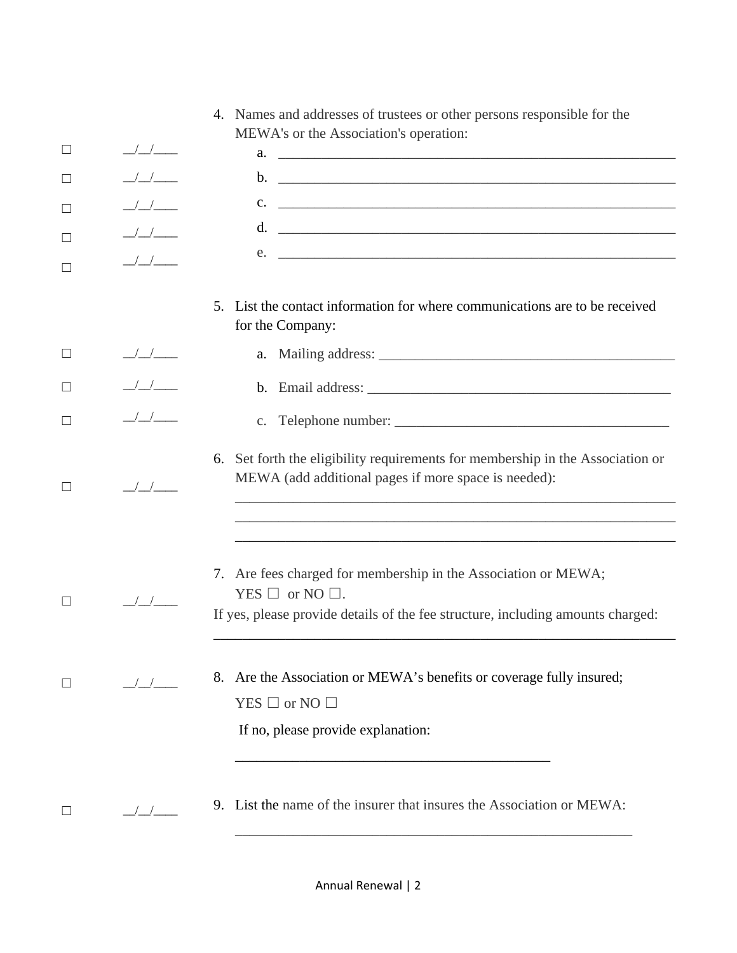|         |                                       | 4. Names and addresses of trustees or other persons responsible for the                                                                                                        |
|---------|---------------------------------------|--------------------------------------------------------------------------------------------------------------------------------------------------------------------------------|
| ⊔       | $\frac{\frac{1}{2}}{\frac{1}{2}}$     | MEWA's or the Association's operation:                                                                                                                                         |
| $\Box$  | $\frac{1}{2}$                         |                                                                                                                                                                                |
|         |                                       | $c.$ $\overline{\phantom{a}}$                                                                                                                                                  |
| □       |                                       |                                                                                                                                                                                |
| □       | $\frac{1}{2}$                         | $e.$ $\overline{\phantom{a}}$                                                                                                                                                  |
|         |                                       |                                                                                                                                                                                |
|         |                                       | List the contact information for where communications are to be received<br>5 <sub>1</sub><br>for the Company:                                                                 |
| $\Box$  | $\frac{\frac{1}{2}}{\frac{1}{2}}$     |                                                                                                                                                                                |
| $\perp$ | $\frac{1}{2}$                         |                                                                                                                                                                                |
|         | $\frac{1}{2}$                         |                                                                                                                                                                                |
| $\Box$  | $\frac{\sqrt{1-\sqrt{1-\frac{1}{2}}}$ | 6. Set forth the eligibility requirements for membership in the Association or<br>MEWA (add additional pages if more space is needed):                                         |
|         |                                       |                                                                                                                                                                                |
|         | $\frac{1}{2}$                         | 7. Are fees charged for membership in the Association or MEWA;<br>YES $\Box$ or NO $\Box$ .<br>If yes, please provide details of the fee structure, including amounts charged: |
| $\perp$ | $\frac{1}{2}$                         | 8. Are the Association or MEWA's benefits or coverage fully insured;<br>$YES \Box$ or NO $\Box$<br>If no, please provide explanation:                                          |
| $\Box$  | $\frac{\sqrt{}}{\sqrt{2}}$            | 9. List the name of the insurer that insures the Association or MEWA:                                                                                                          |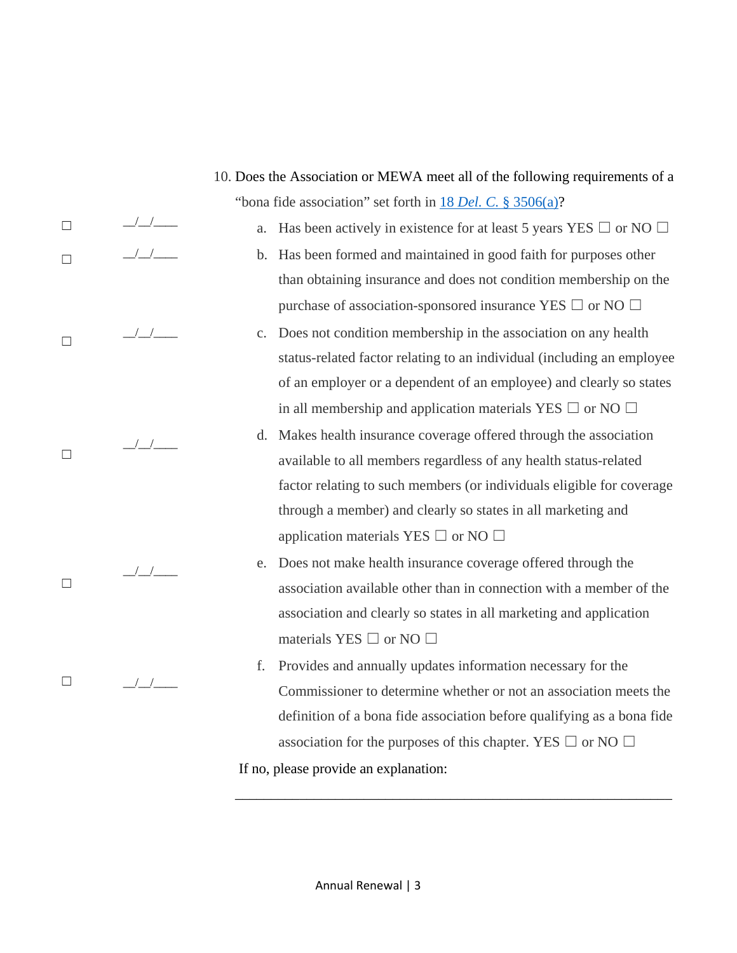$\frac{1}{2}$   $\frac{1}{2}$  $/$   $/$   $/$   $/$   $/$  $\frac{1}{2}$  $\frac{1}{2}$  $\frac{1}{1}$ "bona fide association" set forth in 18 *Del. C.* [§ 3506\(](http://delcode.delaware.gov/title18/c035/index.shtml)a)? a. Has been actively in existence for at least 5 years YES  $\Box$  or NO  $\Box$ b. Has been formed and maintained in good faith for purposes other than obtaining insurance and does not condition membership on the purchase of association-sponsored insurance YES  $\Box$  or NO  $\Box$ c. Does not condition membership in the association on any health status-related factor relating to an individual (including an employee of an employer or a dependent of an employee) and clearly so states in all membership and application materials YES  $\Box$  or NO  $\Box$ d. Makes health insurance coverage offered through the association available to all members regardless of any health status-related factor relating to such members (or individuals eligible for coverage through a member) and clearly so states in all marketing and application materials YES  $\Box$  or NO  $\Box$ e. Does not make health insurance coverage offered through the association available other than in connection with a member of the association and clearly so states in all marketing and application materials YES  $\Box$  or NO  $\Box$ f. Provides and annually updates information necessary for the Commissioner to determine whether or not an association meets the definition of a bona fide association before qualifying as a bona fide association for the purposes of this chapter. YES  $\Box$  or NO  $\Box$ If no, please provide an explanation:

10. Does the Association or MEWA meet all of the following requirements of a

☐

 $\Box$ 

 $\Box$ 

 $\Box$ 

☐

☐

\_\_\_\_\_\_\_\_\_\_\_\_\_\_\_\_\_\_\_\_\_\_\_\_\_\_\_\_\_\_\_\_\_\_\_\_\_\_\_\_\_\_\_\_\_\_\_\_\_\_\_\_\_\_\_\_\_\_\_\_\_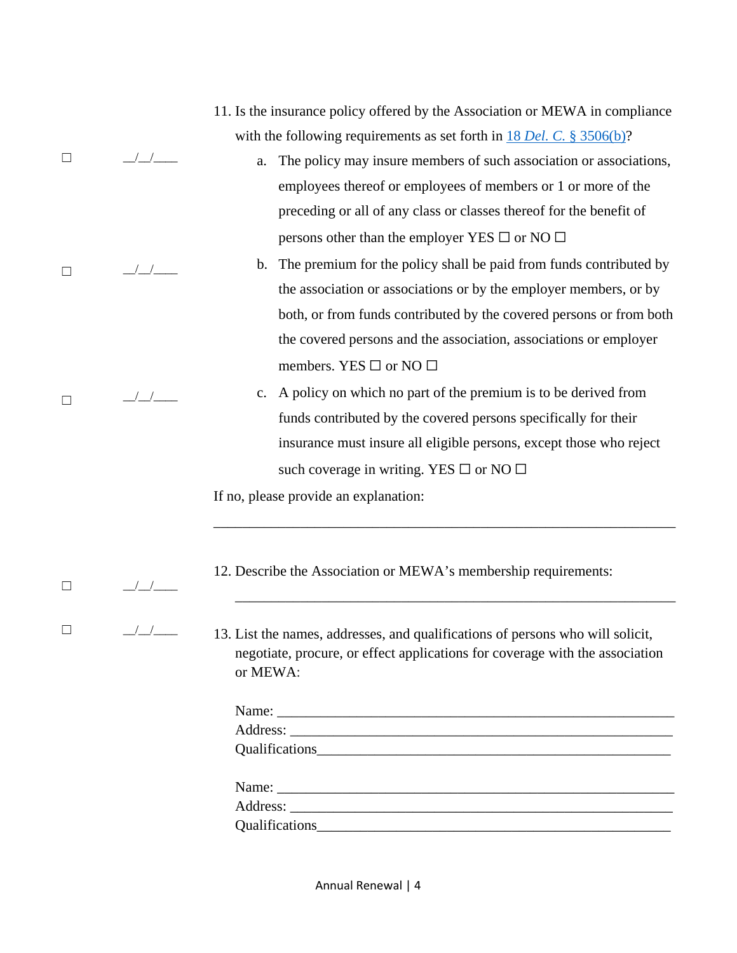|   |                                                                                                                                                                            | 11. Is the insurance policy offered by the Association or MEWA in compliance<br>with the following requirements as set forth in $18$ Del. C. § 3506(b)? |  |  |
|---|----------------------------------------------------------------------------------------------------------------------------------------------------------------------------|---------------------------------------------------------------------------------------------------------------------------------------------------------|--|--|
| ⊔ | $\frac{1}{2}$                                                                                                                                                              | The policy may insure members of such association or associations,<br>a.                                                                                |  |  |
|   |                                                                                                                                                                            | employees thereof or employees of members or 1 or more of the                                                                                           |  |  |
|   |                                                                                                                                                                            | preceding or all of any class or classes thereof for the benefit of                                                                                     |  |  |
|   |                                                                                                                                                                            | persons other than the employer YES $\square$ or NO $\square$                                                                                           |  |  |
| П | $\left  \begin{array}{c} \end{array} \right $                                                                                                                              | The premium for the policy shall be paid from funds contributed by<br>$\mathbf b$ .                                                                     |  |  |
|   |                                                                                                                                                                            | the association or associations or by the employer members, or by                                                                                       |  |  |
|   |                                                                                                                                                                            | both, or from funds contributed by the covered persons or from both                                                                                     |  |  |
|   |                                                                                                                                                                            | the covered persons and the association, associations or employer                                                                                       |  |  |
|   |                                                                                                                                                                            | members. YES $\square$ or NO $\square$                                                                                                                  |  |  |
| П |                                                                                                                                                                            | A policy on which no part of the premium is to be derived from<br>$\mathbf{c}$ .                                                                        |  |  |
|   |                                                                                                                                                                            | funds contributed by the covered persons specifically for their                                                                                         |  |  |
|   |                                                                                                                                                                            | insurance must insure all eligible persons, except those who reject                                                                                     |  |  |
|   |                                                                                                                                                                            | such coverage in writing. YES $\square$ or NO $\square$                                                                                                 |  |  |
|   |                                                                                                                                                                            | If no, please provide an explanation:                                                                                                                   |  |  |
|   |                                                                                                                                                                            |                                                                                                                                                         |  |  |
|   |                                                                                                                                                                            |                                                                                                                                                         |  |  |
| ⊔ |                                                                                                                                                                            | 12. Describe the Association or MEWA's membership requirements:                                                                                         |  |  |
|   |                                                                                                                                                                            |                                                                                                                                                         |  |  |
|   | 13. List the names, addresses, and qualifications of persons who will solicit,<br>negotiate, procure, or effect applications for coverage with the association<br>or MEWA: |                                                                                                                                                         |  |  |
|   |                                                                                                                                                                            |                                                                                                                                                         |  |  |
|   |                                                                                                                                                                            |                                                                                                                                                         |  |  |
|   |                                                                                                                                                                            |                                                                                                                                                         |  |  |
|   |                                                                                                                                                                            |                                                                                                                                                         |  |  |
|   |                                                                                                                                                                            |                                                                                                                                                         |  |  |
|   |                                                                                                                                                                            |                                                                                                                                                         |  |  |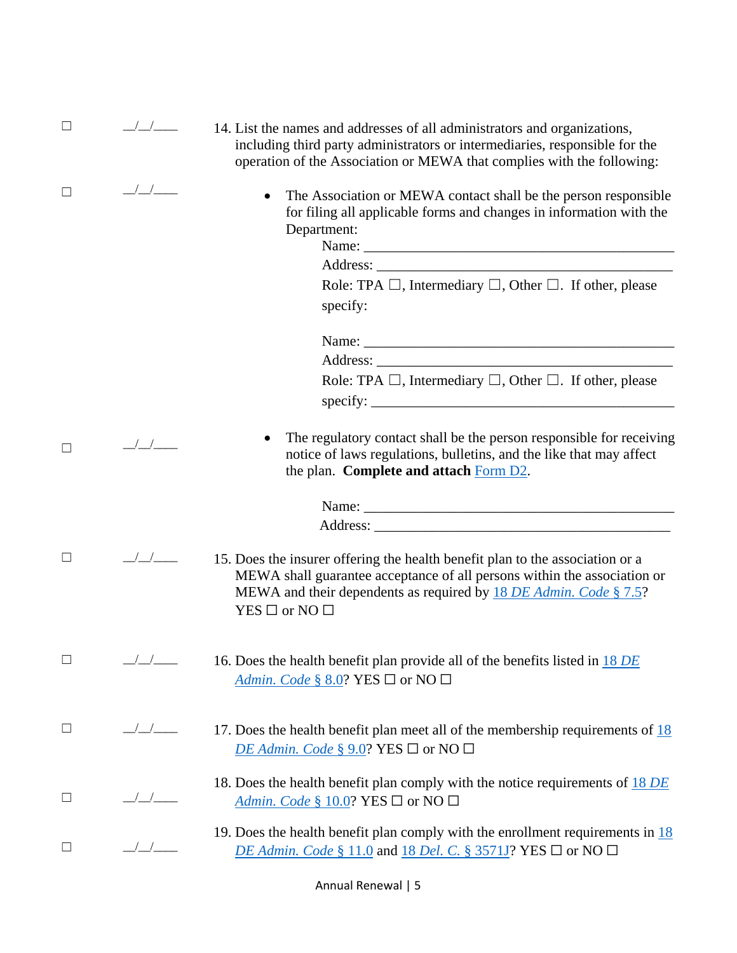| $\Box$ | $\frac{1}{2}$                                 | 14. List the names and addresses of all administrators and organizations,<br>including third party administrators or intermediaries, responsible for the<br>operation of the Association or MEWA that complies with the following:                        |
|--------|-----------------------------------------------|-----------------------------------------------------------------------------------------------------------------------------------------------------------------------------------------------------------------------------------------------------------|
| $\Box$ | $\sqrt{2}$                                    | The Association or MEWA contact shall be the person responsible<br>for filing all applicable forms and changes in information with the<br>Department:<br>Role: TPA $\Box$ , Intermediary $\Box$ , Other $\Box$ . If other, please<br>specify:             |
|        |                                               |                                                                                                                                                                                                                                                           |
|        |                                               |                                                                                                                                                                                                                                                           |
|        |                                               | Role: TPA $\Box$ , Intermediary $\Box$ , Other $\Box$ . If other, please<br>specify:                                                                                                                                                                      |
| П      | $\left  \begin{array}{c} \end{array} \right $ | The regulatory contact shall be the person responsible for receiving<br>notice of laws regulations, bulletins, and the like that may affect<br>the plan. Complete and attach Form D2.                                                                     |
|        |                                               |                                                                                                                                                                                                                                                           |
|        |                                               |                                                                                                                                                                                                                                                           |
| $\Box$ | $\frac{\sqrt{1-\mu}}{\sqrt{1-\mu}}$           | 15. Does the insurer offering the health benefit plan to the association or a<br>MEWA shall guarantee acceptance of all persons within the association or<br>MEWA and their dependents as required by 18 DE Admin. Code § 7.5?<br>$YES \Box$ or NO $\Box$ |
| $\Box$ | $\frac{\sqrt{2}}{\sqrt{2}}$                   | 16. Does the health benefit plan provide all of the benefits listed in 18 DE<br>Admin. Code § 8.0? YES $\Box$ or NO $\Box$                                                                                                                                |
| $\Box$ | $\frac{\sqrt{2}}{\sqrt{2}}$                   | 17. Does the health benefit plan meet all of the membership requirements of $\frac{18}{18}$<br>DE Admin. Code § 9.0? YES $\Box$ or NO $\Box$                                                                                                              |
| $\Box$ |                                               | 18. Does the health benefit plan comply with the notice requirements of $18$ DE<br>Admin. Code § 10.0? YES $\Box$ or NO $\Box$                                                                                                                            |
| $\Box$ | $\frac{1}{\sqrt{2}}$                          | 19. Does the health benefit plan comply with the enrollment requirements in $\frac{18}{18}$<br>DE Admin. Code § 11.0 and 18 Del. C. § 3571J? YES $\square$ or NO $\square$                                                                                |

Annual Renewal | 5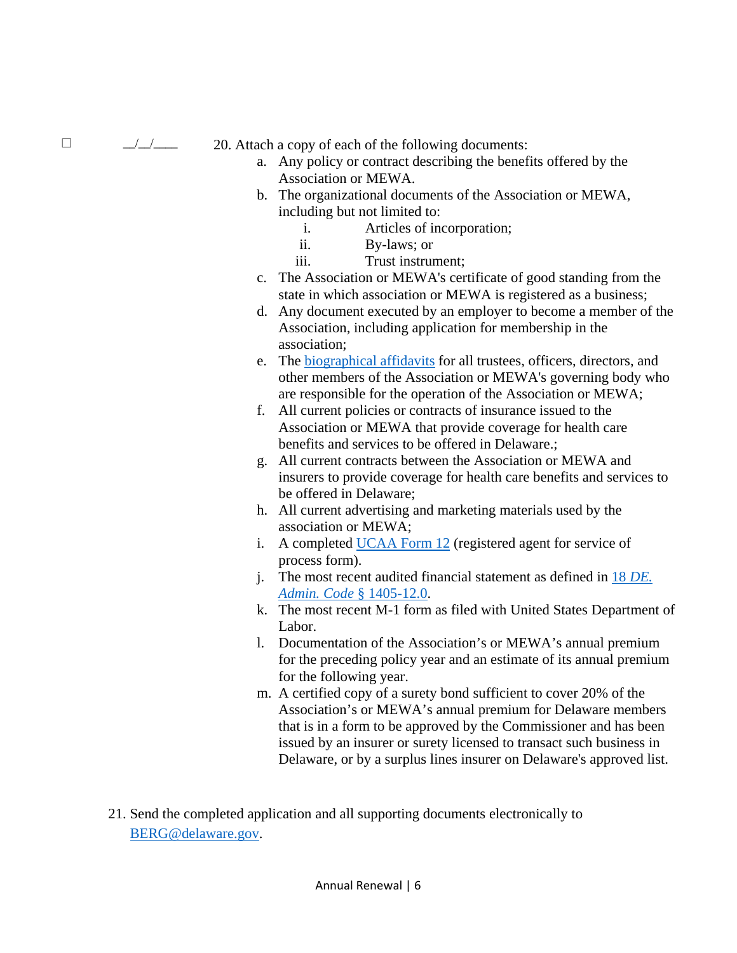$\Box$   $\Box$   $\Box$  20. Attach a copy of each of the following documents:

- a. Any policy or contract describing the benefits offered by the Association or MEWA.
- b. The organizational documents of the Association or MEWA, including but not limited to:
	- i. Articles of incorporation;
	- ii. By-laws; or
	- iii. Trust instrument;
- c. The Association or MEWA's certificate of good standing from the state in which association or MEWA is registered as a business;
- d. Any document executed by an employer to become a member of the Association, including application for membership in the association;
- e. The [biographical affidavits](https://www.naic.org/documents/industry_ucaa_form11.pdf) for all trustees, officers, directors, and other members of the Association or MEWA's governing body who are responsible for the operation of the Association or MEWA;
- f. All current policies or contracts of insurance issued to the Association or MEWA that provide coverage for health care benefits and services to be offered in Delaware.;
- g. All current contracts between the Association or MEWA and insurers to provide coverage for health care benefits and services to be offered in Delaware;
- h. All current advertising and marketing materials used by the association or MEWA;
- i. A completed [UCAA Form 12](https://www.naic.org/documents/industry_ucaa_form12.pdf) (registered agent for service of process form).
- j. The most recent audited financial statement as defined in 18 *[DE.](http://regulations.delaware.gov/AdminCode/title18/1400/1405.shtml#TopOfPage)  [Admin. Code](http://regulations.delaware.gov/AdminCode/title18/1400/1405.shtml#TopOfPage)* § 1405-12.0.
- k. The most recent M-1 form as filed with United States Department of Labor.
- l. Documentation of the Association's or MEWA's annual premium for the preceding policy year and an estimate of its annual premium for the following year.
- m. A certified copy of a surety bond sufficient to cover 20% of the Association's or MEWA's annual premium for Delaware members that is in a form to be approved by the Commissioner and has been issued by an insurer or surety licensed to transact such business in Delaware, or by a surplus lines insurer on Delaware's approved list.
- 21. Send the completed application and all supporting documents electronically to [BERG@delaware.gov.](mailto:BERG@delaware.gov)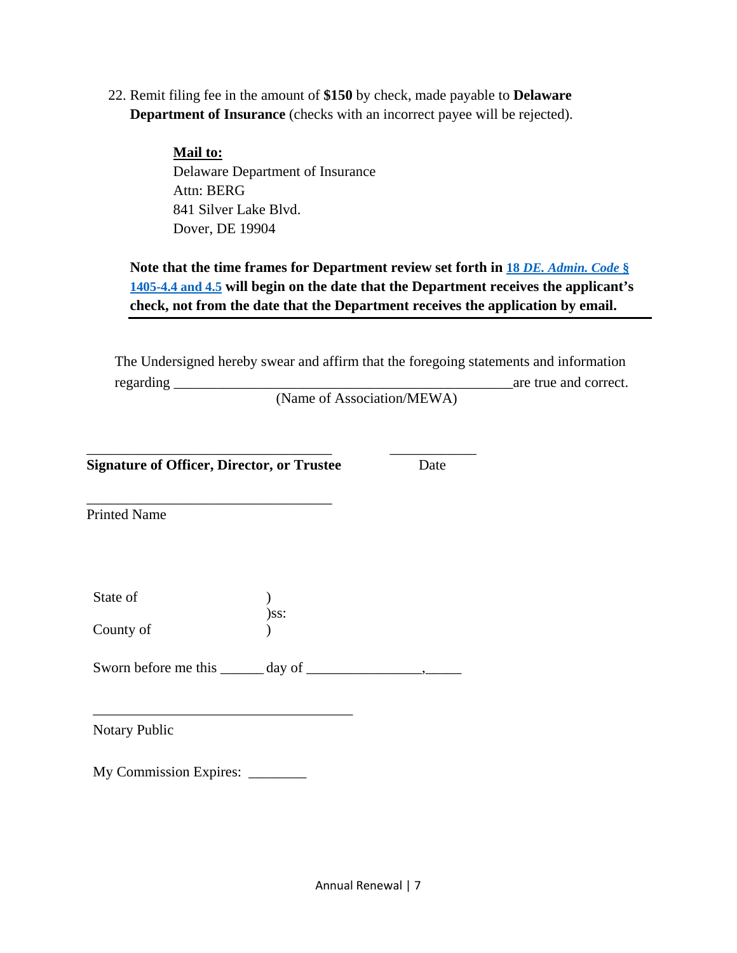22. Remit filing fee in the amount of **\$150** by check, made payable to **Delaware Department of Insurance** (checks with an incorrect payee will be rejected).

> **Mail to:** Delaware Department of Insurance Attn: BERG 841 Silver Lake Blvd. Dover, DE 19904

**Note that the time frames for Department review set forth in 18** *[DE. Admin. Code](http://regulations.delaware.gov/AdminCode/title18/1400/1405.shtml#TopOfPage)* **§ [1405-4.4 and 4.5](http://regulations.delaware.gov/AdminCode/title18/1400/1405.shtml#TopOfPage) will begin on the date that the Department receives the applicant's check, not from the date that the Department receives the application by email.**

The Undersigned hereby swear and affirm that the foregoing statements and information regarding \_\_\_\_\_\_\_\_\_\_\_\_\_\_\_\_\_\_\_\_\_\_\_\_\_\_\_\_\_\_\_\_\_\_\_\_\_\_\_\_\_\_\_\_\_\_\_are true and correct.

(Name of Association/MEWA)

\_\_\_\_\_\_\_\_\_\_\_\_\_\_\_\_\_\_\_\_\_\_\_\_\_\_\_\_\_\_\_\_\_\_ \_\_\_\_\_\_\_\_\_\_\_\_ **Signature of Officer, Director, or Trustee** Date

\_\_\_\_\_\_\_\_\_\_\_\_\_\_\_\_\_\_\_\_\_\_\_\_\_\_\_\_\_\_\_\_\_\_

Printed Name

| State of  |         |  |  |
|-----------|---------|--|--|
|           | $)$ SS: |  |  |
| County of |         |  |  |

Sworn before me this \_\_\_\_\_\_ day of \_\_\_\_\_\_\_\_\_\_\_\_\_\_\_\_,\_\_\_\_\_

Notary Public

My Commission Expires:

\_\_\_\_\_\_\_\_\_\_\_\_\_\_\_\_\_\_\_\_\_\_\_\_\_\_\_\_\_\_\_\_\_\_\_\_